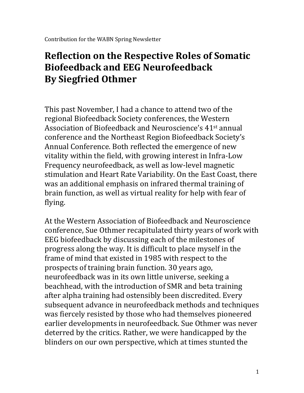## **Reflection on the Respective Roles of Somatic Biofeedback and EEG Neurofeedback By Siegfried Othmer**

This past November, I had a chance to attend two of the regional Biofeedback Society conferences, the Western Association of Biofeedback and Neuroscience's 41st annual conference and the Northeast Region Biofeedback Society's Annual Conference. Both reflected the emergence of new vitality within the field, with growing interest in Infra-Low Frequency neurofeedback, as well as low-level magnetic stimulation and Heart Rate Variability. On the East Coast, there was an additional emphasis on infrared thermal training of brain function, as well as virtual reality for help with fear of flying.

At the Western Association of Biofeedback and Neuroscience conference, Sue Othmer recapitulated thirty years of work with EEG biofeedback by discussing each of the milestones of progress along the way. It is difficult to place myself in the frame of mind that existed in 1985 with respect to the prospects of training brain function. 30 years ago, neurofeedback was in its own little universe, seeking a beachhead, with the introduction of SMR and beta training after alpha training had ostensibly been discredited. Every subsequent advance in neurofeedback methods and techniques was fiercely resisted by those who had themselves pioneered earlier developments in neurofeedback. Sue Othmer was never deterred by the critics. Rather, we were handicapped by the blinders on our own perspective, which at times stunted the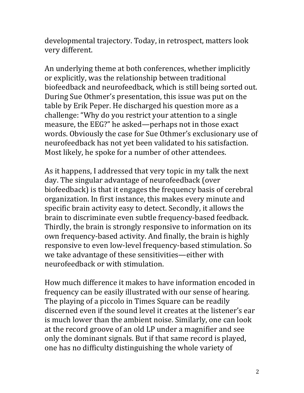developmental trajectory. Today, in retrospect, matters look very different.

An underlying theme at both conferences, whether implicitly or explicitly, was the relationship between traditional biofeedback and neurofeedback, which is still being sorted out. During Sue Othmer's presentation, this issue was put on the table by Erik Peper. He discharged his question more as a challenge: "Why do you restrict your attention to a single measure, the EEG?" he asked—perhaps not in those exact words. Obviously the case for Sue Othmer's exclusionary use of neurofeedback has not yet been validated to his satisfaction. Most likely, he spoke for a number of other attendees.

As it happens, I addressed that very topic in my talk the next day. The singular advantage of neurofeedback (over biofeedback) is that it engages the frequency basis of cerebral organization. In first instance, this makes every minute and specific brain activity easy to detect. Secondly, it allows the brain to discriminate even subtle frequency-based feedback. Thirdly, the brain is strongly responsive to information on its own frequency-based activity. And finally, the brain is highly responsive to even low-level frequency-based stimulation. So we take advantage of these sensitivities—either with neurofeedback or with stimulation.

How much difference it makes to have information encoded in frequency can be easily illustrated with our sense of hearing. The playing of a piccolo in Times Square can be readily discerned even if the sound level it creates at the listener's ear is much lower than the ambient noise. Similarly, one can look at the record groove of an old LP under a magnifier and see only the dominant signals. But if that same record is played, one has no difficulty distinguishing the whole variety of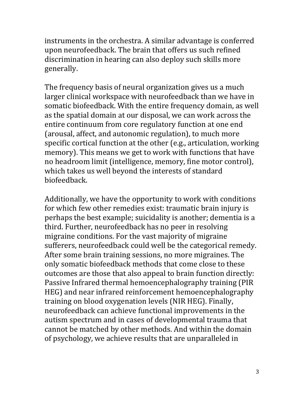instruments in the orchestra. A similar advantage is conferred upon neurofeedback. The brain that offers us such refined discrimination in hearing can also deploy such skills more generally.

The frequency basis of neural organization gives us a much larger clinical workspace with neurofeedback than we have in somatic biofeedback. With the entire frequency domain, as well as the spatial domain at our disposal, we can work across the entire continuum from core regulatory function at one end (arousal, affect, and autonomic regulation), to much more specific cortical function at the other (e.g., articulation, working memory). This means we get to work with functions that have no headroom limit (intelligence, memory, fine motor control), which takes us well beyond the interests of standard biofeedback.

Additionally, we have the opportunity to work with conditions for which few other remedies exist: traumatic brain injury is perhaps the best example; suicidality is another; dementia is a third. Further, neurofeedback has no peer in resolving migraine conditions. For the vast majority of migraine sufferers, neurofeedback could well be the categorical remedy. After some brain training sessions, no more migraines. The only somatic biofeedback methods that come close to these outcomes are those that also appeal to brain function directly: Passive Infrared thermal hemoencephalography training (PIR HEG) and near infrared reinforcement hemoencephalography training on blood oxygenation levels (NIR HEG). Finally, neurofeedback can achieve functional improvements in the autism spectrum and in cases of developmental trauma that cannot be matched by other methods. And within the domain of psychology, we achieve results that are unparalleled in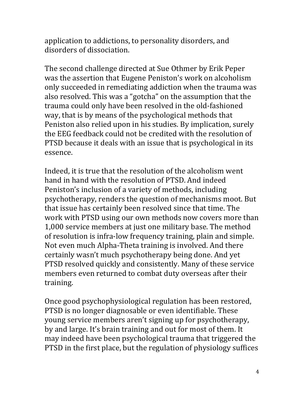application to addictions, to personality disorders, and disorders of dissociation.

The second challenge directed at Sue Othmer by Erik Peper was the assertion that Eugene Peniston's work on alcoholism only succeeded in remediating addiction when the trauma was also resolved. This was a "gotcha" on the assumption that the trauma could only have been resolved in the old-fashioned way, that is by means of the psychological methods that Peniston also relied upon in his studies. By implication, surely the EEG feedback could not be credited with the resolution of PTSD because it deals with an issue that is psychological in its essence.

Indeed, it is true that the resolution of the alcoholism went hand in hand with the resolution of PTSD. And indeed Peniston's inclusion of a variety of methods, including psychotherapy, renders the question of mechanisms moot. But that issue has certainly been resolved since that time. The work with PTSD using our own methods now covers more than 1,000 service members at just one military base. The method of resolution is infra-low frequency training, plain and simple. Not even much Alpha-Theta training is involved. And there certainly wasn't much psychotherapy being done. And yet PTSD resolved quickly and consistently. Many of these service members even returned to combat duty overseas after their training.

Once good psychophysiological regulation has been restored, PTSD is no longer diagnosable or even identifiable. These young service members aren't signing up for psychotherapy, by and large. It's brain training and out for most of them. It may indeed have been psychological trauma that triggered the PTSD in the first place, but the regulation of physiology suffices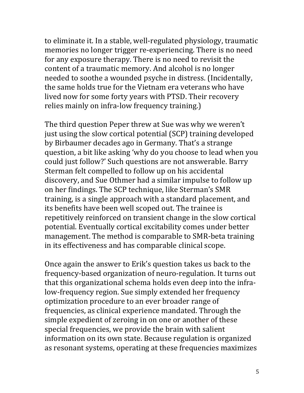to eliminate it. In a stable, well-regulated physiology, traumatic memories no longer trigger re-experiencing. There is no need for any exposure therapy. There is no need to revisit the content of a traumatic memory. And alcohol is no longer needed to soothe a wounded psyche in distress. (Incidentally, the same holds true for the Vietnam era veterans who have lived now for some forty years with PTSD. Their recovery relies mainly on infra-low frequency training.)

The third question Peper threw at Sue was why we weren't just using the slow cortical potential (SCP) training developed by Birbaumer decades ago in Germany. That's a strange question, a bit like asking 'why do you choose to lead when you could just follow?' Such questions are not answerable. Barry Sterman felt compelled to follow up on his accidental discovery, and Sue Othmer had a similar impulse to follow up on her findings. The SCP technique, like Sterman's SMR training, is a single approach with a standard placement, and its benefits have been well scoped out. The trainee is repetitively reinforced on transient change in the slow cortical potential. Eventually cortical excitability comes under better management. The method is comparable to SMR-beta training in its effectiveness and has comparable clinical scope.

Once again the answer to Erik's question takes us back to the frequency-based organization of neuro-regulation. It turns out that this organizational schema holds even deep into the infralow-frequency region. Sue simply extended her frequency optimization procedure to an ever broader range of frequencies, as clinical experience mandated. Through the simple expedient of zeroing in on one or another of these special frequencies, we provide the brain with salient information on its own state. Because regulation is organized as resonant systems, operating at these frequencies maximizes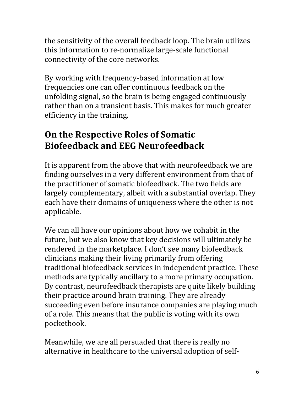the sensitivity of the overall feedback loop. The brain utilizes this information to re-normalize large-scale functional connectivity of the core networks.

By working with frequency-based information at low frequencies one can offer continuous feedback on the unfolding signal, so the brain is being engaged continuously rather than on a transient basis. This makes for much greater efficiency in the training.

## **On the Respective Roles of Somatic Biofeedback and EEG Neurofeedback**

It is apparent from the above that with neurofeedback we are finding ourselves in a very different environment from that of the practitioner of somatic biofeedback. The two fields are largely complementary, albeit with a substantial overlap. They each have their domains of uniqueness where the other is not applicable.

We can all have our opinions about how we cohabit in the future, but we also know that key decisions will ultimately be rendered in the marketplace. I don't see many biofeedback clinicians making their living primarily from offering traditional biofeedback services in independent practice. These methods are typically ancillary to a more primary occupation. By contrast, neurofeedback therapists are quite likely building their practice around brain training. They are already succeeding even before insurance companies are playing much of a role. This means that the public is voting with its own pocketbook.

Meanwhile, we are all persuaded that there is really no alternative in healthcare to the universal adoption of self